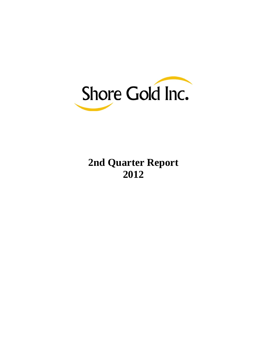

# **2nd Quarter Report 2012**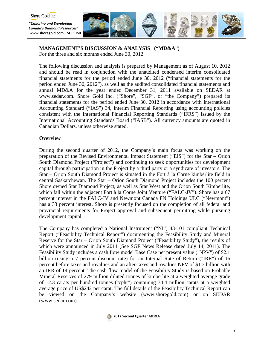

# **MANAGEMENT'S DISCUSSION & ANALYSIS ("MD&A")**

For the three and six months ended June 30, 2012

The following discussion and analysis is prepared by Management as of August 10, 2012 and should be read in conjunction with the unaudited condensed interim consolidated financial statements for the period ended June 30, 2012 ("financial statements for the period ended June 30, 2012"), as well as the audited consolidated financial statements and annual MD&A for the year ended December 31, 2011 available on SEDAR at [www.sedar.com.](http://www.sedar.com/) Shore Gold Inc. ("Shore", "SGF", or "the Company") prepared its financial statements for the period ended June 30, 2012 in accordance with International Accounting Standard ("IAS") 34, Interim Financial Reporting using accounting policies consistent with the International Financial Reporting Standards ("IFRS") issued by the International Accounting Standards Board ("IASB"). All currency amounts are quoted in Canadian Dollars, unless otherwise stated.

## **Overview**

During the second quarter of 2012, the Company's main focus was working on the preparation of the Revised Environmental Impact Statement ("EIS") for the Star – Orion South Diamond Project ("Project") and continuing to seek opportunities for development capital through participation in the Project by a third party or a syndicate of investors. The Star – Orion South Diamond Project is situated in the Fort à la Corne kimberlite field in central Saskatchewan. The Star – Orion South Diamond Project includes the 100 percent Shore owned Star Diamond Project, as well as Star West and the Orion South Kimberlite, which fall within the adjacent Fort à la Corne Joint Venture ("FALC-JV"). Shore has a 67 percent interest in the FALC-JV and Newmont Canada FN Holdings ULC ("Newmont") has a 33 percent interest. Shore is presently focused on the completion of all federal and provincial requirements for Project approval and subsequent permitting while pursuing development capital.

The Company has completed a National Instrument ("NI") 43-101 compliant Technical Report ("Feasibility Technical Report") documenting the Feasibility Study and Mineral Reserve for the Star – Orion South Diamond Project ("Feasibility Study"), the results of which were announced in July 2011 (See SGF News Release dated July 14, 2011). The Feasibility Study includes a cash flow model Base Case net present value ("NPV") of \$2.1 billion (using a 7 percent discount rate) for an Internal Rate of Return ("IRR") of 16 percent before taxes and royalties and an after-taxes and royalties NPV of \$1.3 billion with an IRR of 14 percent. The cash flow model of the Feasibility Study is based on Probable Mineral Reserves of 279 million diluted tonnes of kimberlite at a weighted average grade of 12.3 carats per hundred tonnes ("cpht") containing 34.4 million carats at a weighted average price of US\$242 per carat. The full details of the Feasibility Technical Report can be viewed on the Company's website (www.shoregold.com) or on SEDAR (www.sedar.com).

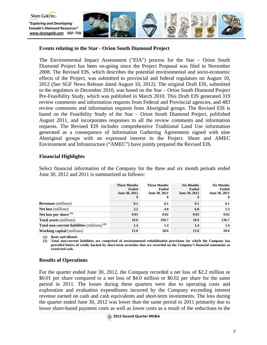

# **Events relating to the Star - Orion South Diamond Project**

The Environmental Impact Assessment ("EIA") process for the Star – Orion South Diamond Project has been on-going since the Project Proposal was filed in November 2008. The Revised EIS, which describes the potential environmental and socio-economic effects of the Project, was submitted to provincial and federal regulators on August 10, 2012 (See SGF News Release dated August 10, 2012). The original Draft EIS, submitted to the regulators in December 2010, was based on the Star – Orion South Diamond Project Pre-Feasibility Study, which was published in March 2010. This Draft EIS generated 319 review comments and information requests from Federal and Provincial agencies, and 483 review comments and information requests from Aboriginal groups. The Revised EIS is based on the Feasibility Study of the Star – Orion South Diamond Project, published August 2011, and incorporates responses to all the review comments and information requests. The Revised EIS includes comprehensive Traditional Land Use information generated as a consequence of Information Gathering Agreements signed with nine Aboriginal groups with an expressed interest in the Project. Shore and AMEC Environment and Infrastructure ("AMEC") have jointly prepared the Revised EIS.

## **Financial Highlights**

Select financial information of the Company for the three and six month periods ended June 30, 2012 and 2011 is summarized as follows:

|                                                | <b>Three Months</b><br>Ended<br>June 30, 2012 | <b>Three Months</b><br>Ended<br>June 30, 2011<br>\$ | <b>Six Months</b><br><b>Ended</b><br>June 30, 2012 | <b>Six Months</b><br><b>Ended</b><br>June 30, 2011 |
|------------------------------------------------|-----------------------------------------------|-----------------------------------------------------|----------------------------------------------------|----------------------------------------------------|
| <b>Revenues</b> (millions)                     | 0.1                                           | 0.1                                                 | 0.1                                                | 0.1                                                |
| <b>Net loss</b> (millions)                     | 2.2                                           | 4.0                                                 | 6.0                                                | 5.3                                                |
| Net loss per share $(1)$                       | 0.01                                          | 0.02                                                | 0.03                                               | 0.02                                               |
| <b>Total assets</b> (millions)                 | 16.6                                          | 236.7                                               | 16.6                                               | 236.7                                              |
| Total non-current liabilities (millions) $(2)$ | 1.4                                           | 1.4                                                 | 1.4                                                | 1.4                                                |
| <b>Working capital</b> (millions)              | 11.6                                          | 20.6                                                | 11.6                                               | 20.6                                               |

**(1) Basic and diluted.**

**(2) Total non-current liabilities are comprised of environmental rehabilitation provisions for which the Company has provided letters of credit, backed by short-term securities that are recorded on the Company's financial statements as restricted cash.**

## **Results of Operations**

For the quarter ended June 30, 2012, the Company recorded a net loss of \$2.2 million or \$0.01 per share compared to a net loss of \$4.0 million or \$0.02 per share for the same period in 2011. The losses during these quarters were due to operating costs and exploration and evaluation expenditures incurred by the Company exceeding interest revenue earned on cash and cash equivalents and short-term investments. The loss during the quarter ended June 30, 2012 was lower than the same period in 2011 primarily due to lower share-based payment costs as well as lower costs as a result of the reductions to the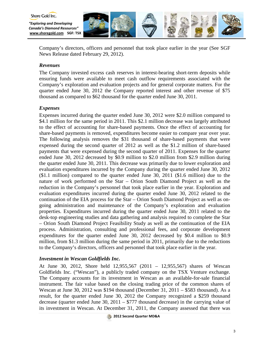



Company's directors, officers and personnel that took place earlier in the year (See SGF News Release dated February 29, 2012).

## *Revenues*

The Company invested excess cash reserves in interest-bearing short-term deposits while ensuring funds were available to meet cash outflow requirements associated with the Company's exploration and evaluation projects and for general corporate matters. For the quarter ended June 30, 2012 the Company reported interest and other revenue of \$75 thousand as compared to \$62 thousand for the quarter ended June 30, 2011.

## *Expenses*

Expenses incurred during the quarter ended June 30, 2012 were \$2.0 million compared to \$4.1 million for the same period in 2011. This \$2.1 million decrease was largely attributed to the effect of accounting for share-based payments. Once the effect of accounting for share-based payments is removed, expenditures become easier to compare year over year. The following analysis removes the \$31 thousand of share-based payments that were expensed during the second quarter of 2012 as well as the \$1.2 million of share-based payments that were expensed during the second quarter of 2011. Expenses for the quarter ended June 30, 2012 decreased by \$0.9 million to \$2.0 million from \$2.9 million during the quarter ended June 30, 2011. This decrease was primarily due to lower exploration and evaluation expenditures incurred by the Company during the quarter ended June 30, 2012 (\$1.1 million) compared to the quarter ended June 30, 2011 (\$1.6 million) due to the nature of work performed on the Star – Orion South Diamond Project as well as the reduction in the Company's personnel that took place earlier in the year. Exploration and evaluation expenditures incurred during the quarter ended June 30, 2012 related to the continuation of the EIA process for the Star – Orion South Diamond Project as well as ongoing administration and maintenance of the Company's exploration and evaluation properties. Expenditures incurred during the quarter ended June 30, 2011 related to the desk-top engineering studies and data gathering and analysis required to complete the Star – Orion South Diamond Project Feasibility Study as well as the continuation of the EIA process. Administration, consulting and professional fees, and corporate development expenditures for the quarter ended June 30, 2012 decreased by \$0.4 million to \$0.9 million, from \$1.3 million during the same period in 2011, primarily due to the reductions to the Company's directors, officers and personnel that took place earlier in the year.

# *Investment in Wescan Goldfields Inc.*

At June 30, 2012, Shore held 12,955,567 (2011 – 12,955,567) shares of Wescan Goldfields Inc. ("Wescan"), a publicly traded company on the TSX Venture exchange. The Company accounts for its investment in Wescan as an available-for-sale financial instrument. The fair value based on the closing trading price of the common shares of Wescan at June 30, 2012 was \$194 thousand (December 31, 2011 – \$583 thousand). As a result, for the quarter ended June 30, 2012 the Company recognized a \$259 thousand decrease (quarter ended June 30, 2011 – \$777 thousand decrease) in the carrying value of its investment in Wescan. At December 31, 2011, the Company assessed that there was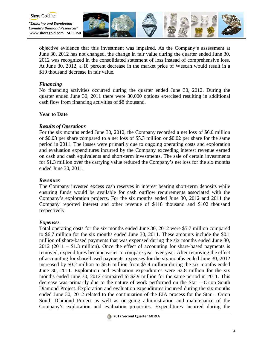

objective evidence that this investment was impaired. As the Company's assessment at June 30, 2012 has not changed, the change in fair value during the quarter ended June 30, 2012 was recognized in the consolidated statement of loss instead of comprehensive loss. At June 30, 2012, a 10 percent decrease in the market price of Wescan would result in a \$19 thousand decrease in fair value.

# *Financing*

No financing activities occurred during the quarter ended June 30, 2012. During the quarter ended June 30, 2011 there were 30,000 options exercised resulting in additional cash flow from financing activities of \$8 thousand.

## **Year to Date**

## *Results of Operations*

For the six months ended June 30, 2012, the Company recorded a net loss of \$6.0 million or \$0.03 per share compared to a net loss of \$5.3 million or \$0.02 per share for the same period in 2011. The losses were primarily due to ongoing operating costs and exploration and evaluation expenditures incurred by the Company exceeding interest revenue earned on cash and cash equivalents and short-term investments. The sale of certain investments for \$1.3 million over the carrying value reduced the Company's net loss for the six months ended June 30, 2011.

## *Revenues*

The Company invested excess cash reserves in interest bearing short-term deposits while ensuring funds would be available for cash outflow requirements associated with the Company's exploration projects. For the six months ended June 30, 2012 and 2011 the Company reported interest and other revenue of \$118 thousand and \$102 thousand respectively.

## *Expenses*

Total operating costs for the six months ended June 30, 2012 were \$5.7 million compared to \$6.7 million for the six months ended June 30, 2011. These amounts include the \$0.1 million of share-based payments that was expensed during the six months ended June 30,  $2012$  (2011 – \$1.3 million). Once the effect of accounting for share-based payments is removed, expenditures become easier to compare year over year. After removing the effect of accounting for share-based payments, expenses for the six months ended June 30, 2012 increased by \$0.2 million to \$5.6 million from \$5.4 million during the six months ended June 30, 2011. Exploration and evaluation expenditures were \$2.8 million for the six months ended June 30, 2012 compared to \$2.9 million for the same period in 2011. This decrease was primarily due to the nature of work performed on the Star – Orion South Diamond Project. Exploration and evaluation expenditures incurred during the six months ended June 30, 2012 related to the continuation of the EIA process for the Star – Orion South Diamond Project as well as on-going administration and maintenance of the Company's exploration and evaluation properties. Expenditures incurred during the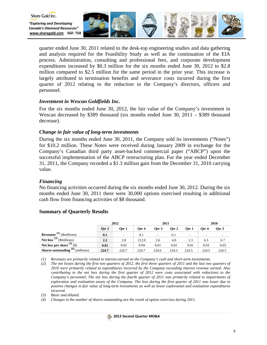

quarter ended June 30, 2011 related to the desk-top engineering studies and data gathering and analysis required for the Feasibility Study as well as the continuation of the EIA process. Administration, consulting and professional fees, and corporate development expenditures increased by \$0.3 million for the six months ended June 30, 2012 to \$2.8 million compared to \$2.5 million for the same period in the prior year. This increase is largely attributed to termination benefits and severance costs incurred during the first quarter of 2012 relating to the reduction in the Company's directors, officers and personnel.

## *Investment in Wescan Goldfields Inc.*

For the six months ended June 30, 2012, the fair value of the Company's investment in Wescan decreased by \$389 thousand (six months ended June 30, 2011 – \$389 thousand decrease).

# *Change in fair value of long-term investments*

During the six months ended June 30, 2011, the Company sold its investments ("Notes") for \$10.2 million. These Notes were received during January 2009 in exchange for the Company's Canadian third party asset-backed commercial paper ("ABCP") upon the successful implementation of the ABCP restructuring plan. For the year ended December 31, 2011, the Company recorded a \$1.3 million gain from the December 31, 2010 carrying value.

# *Financing*

No financing activities occurred during the six months ended June 30, 2012. During the six months ended June 30, 2011 there were 30,000 options exercised resulting in additional cash flow from financing activities of \$8 thousand.

|                                             | 2012  |        |       | 2011                     |       |                          | 2010     |         |
|---------------------------------------------|-------|--------|-------|--------------------------|-------|--------------------------|----------|---------|
|                                             | Qtr 2 | Otr 1  | Otr 4 | Otr 3                    | Otr 2 | Otr 1                    | $O$ tr 4 | Otr $3$ |
| <b>Revenues</b> <sup>(1)</sup> (\$millions) | 0.1   | $\sim$ | 0.1   | $\overline{\phantom{a}}$ | 0.1   | $\overline{\phantom{a}}$ |          | ۰       |
| Net loss <sup>(2)</sup> (\$millions)        | 2.2   | 3.8    | 212.0 | 2.6                      | 4.0   |                          | 6.3      | 6.7     |
| Net loss per share $(3)$ (\$)               | 0.01  | 0.02   | 0.94  | 0.01                     | 0.02  | 0.01                     | 0.03     | 0.03    |
| $(4)$ (millions)<br>Shares outstanding      | 224.7 | 224.7  | 224.7 | 224.6                    | 224.5 | 224.5                    | 224.5    | 224.5   |

## **Summary of Quarterly Results**

*(1) Revenues are primarily related to interest earned on the Company's cash and short-term investments.* 

*(2) The net losses during the first two quarters of 2012, the first three quarters of 2011 and the last two quarters of 2010 were primarily related to expenditures incurred by the Company exceeding interest revenue earned. Also contributing to the net loss during the first quarter of 2012 were costs associated with reductions to the Company's personnel. The net loss during the fourth quarter of 2011 was primarily related to impairments of exploration and evaluation assets of the Company. The loss during the first quarter of 2011 was lower due to positive changes in fair value of long-term investments as well as lower exploration and evaluation expenditures incurred.* 

*(4) Changes in the number of shares outstanding are the result of option exercises during 2011.* 

*<sup>(3)</sup> Basic and diluted.*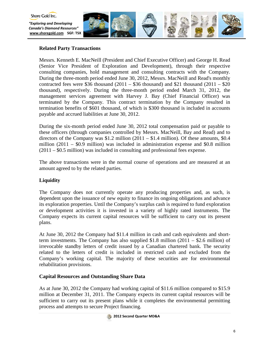

# **Related Party Transactions**

Messrs. Kenneth E. MacNeill (President and Chief Executive Officer) and George H. Read (Senior Vice President of Exploration and Development), through their respective consulting companies, hold management and consulting contracts with the Company. During the three-month period ended June 30, 2012, Messrs. MacNeill and Read's monthly contracted fees were \$36 thousand  $(2011 - $36$  thousand) and \$21 thousand  $(2011 - $20$ thousand), respectively. During the three-month period ended March 31, 2012, the management services agreement with Harvey J. Bay (Chief Financial Officer) was terminated by the Company. This contract termination by the Company resulted in termination benefits of \$601 thousand, of which is \$300 thousand is included in accounts payable and accrued liabilities at June 30, 2012.

During the six-month period ended June 30, 2012 total compensation paid or payable to these officers (through companies controlled by Messrs. MacNeill, Bay and Read) and to directors of the Company was  $$1.2$  million (2011 –  $$1.4$  million). Of these amounts,  $$0.4$ million  $(2011 - $0.9$  million) was included in administration expense and \$0.8 million (2011 – \$0.5 million) was included in consulting and professional fees expense.

The above transactions were in the normal course of operations and are measured at an amount agreed to by the related parties.

# **Liquidity**

The Company does not currently operate any producing properties and, as such, is dependent upon the issuance of new equity to finance its ongoing obligations and advance its exploration properties. Until the Company's surplus cash is required to fund exploration or development activities it is invested in a variety of highly rated instruments. The Company expects its current capital resources will be sufficient to carry out its present plans.

At June 30, 2012 the Company had \$11.4 million in cash and cash equivalents and shortterm investments. The Company has also supplied  $$1.8$  million (2011 –  $$2.6$  million) of irrevocable standby letters of credit issued by a Canadian chartered bank. The security related to the letters of credit is included in restricted cash and excluded from the Company's working capital. The majority of these securities are for environmental rehabilitation provisions.

# **Capital Resources and Outstanding Share Data**

As at June 30, 2012 the Company had working capital of \$11.6 million compared to \$15.9 million at December 31, 2011. The Company expects its current capital resources will be sufficient to carry out its present plans while it completes the environmental permitting process and attempts to secure Project financing.

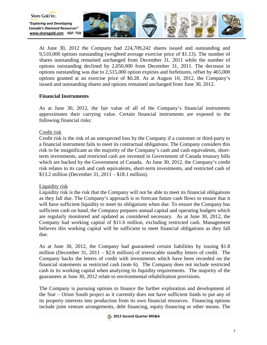

At June 30, 2012 the Company had 224,709,242 shares issued and outstanding and 9,510,000 options outstanding (weighted average exercise price of \$1.13). The number of shares outstanding remained unchanged from December 31, 2011 while the number of options outstanding declined by 2,050,000 from December 31, 2011. The decrease in options outstanding was due to 2,515,000 option expiries and forfeitures, offset by 465,000 options granted at an exercise price of \$0.28. As at August 10, 2012, the Company's issued and outstanding shares and options remained unchanged from June 30, 2012.

## **Financial Instruments**

As at June 30, 2012, the fair value of all of the Company's financial instruments approximates their carrying value. Certain financial instruments are exposed to the following financial risks:

## Credit risk

Credit risk is the risk of an unexpected loss by the Company if a customer or third-party to a financial instrument fails to meet its contractual obligations. The Company considers this risk to be insignificant as the majority of the Company's cash and cash equivalents, shortterm investments, and restricted cash are invested in Government of Canada treasury bills which are backed by the Government of Canada. At June 30, 2012, the Company's credit risk relates to its cash and cash equivalents, short-term investments, and restricted cash of \$13.2 million (December 31, 2011 – \$18.1 million).

# Liquidity risk

Liquidity risk is the risk that the Company will not be able to meet its financial obligations as they fall due. The Company's approach is to forecast future cash flows to ensure that it will have sufficient liquidity to meet its obligations when due. To ensure the Company has sufficient cash on hand, the Company prepares annual capital and operating budgets which are regularly monitored and updated as considered necessary. As at June 30, 2012, the Company had working capital of \$11.6 million, excluding restricted cash. Management believes this working capital will be sufficient to meet financial obligations as they fall due.

As at June 30, 2012, the Company had guaranteed certain liabilities by issuing \$1.8 million (December 31, 2011 – \$2.6 million) of irrevocable standby letters of credit. The Company backs the letters of credit with investments which have been recorded on the financial statements as restricted cash (note 6). The Company does not include restricted cash in its working capital when analyzing its liquidity requirements. The majority of the guarantees at June 30, 2012 relate to environmental rehabilitation provisions.

The Company is pursuing options to finance the further exploration and development of the Star – Orion South project as it currently does not have sufficient funds to put any of its property interests into production from its own financial resources. Financing options include joint venture arrangements, debt financing, equity financing or other means. The

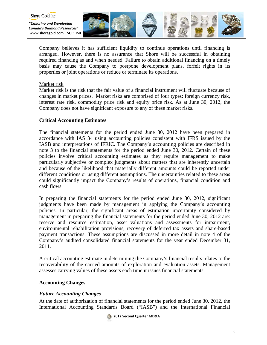

Company believes it has sufficient liquidity to continue operations until financing is arranged. However, there is no assurance that Shore will be successful in obtaining required financing as and when needed. Failure to obtain additional financing on a timely basis may cause the Company to postpone development plans, forfeit rights in its properties or joint operations or reduce or terminate its operations.

## Market risk

Shore Gold Inc.

Market risk is the risk that the fair value of a financial instrument will fluctuate because of changes in market prices. Market risks are comprised of four types: foreign currency risk, interest rate risk, commodity price risk and equity price risk. As at June 30, 2012, the Company does not have significant exposure to any of these market risks.

# **Critical Accounting Estimates**

The financial statements for the period ended June 30, 2012 have been prepared in accordance with IAS 34 using accounting policies consistent with IFRS issued by the IASB and interpretations of IFRIC. The Company's accounting policies are described in note 3 to the financial statements for the period ended June 30, 2012. Certain of these policies involve critical accounting estimates as they require management to make particularly subjective or complex judgments about matters that are inherently uncertain and because of the likelihood that materially different amounts could be reported under different conditions or using different assumptions. The uncertainties related to these areas could significantly impact the Company's results of operations, financial condition and cash flows.

In preparing the financial statements for the period ended June 30, 2012, significant judgments have been made by management in applying the Company's accounting policies. In particular, the significant areas of estimation uncertainty considered by management in preparing the financial statements for the period ended June 30, 2012 are: reserve and resource estimation, asset valuations and assessments for impairment, environmental rehabilitation provisions, recovery of deferred tax assets and share-based payment transactions. These assumptions are discussed in more detail in note 4 of the Company's audited consolidated financial statements for the year ended December 31, 2011.

A critical accounting estimate in determining the Company's financial results relates to the recoverability of the carried amounts of exploration and evaluation assets. Management assesses carrying values of these assets each time it issues financial statements.

## **Accounting Changes**

# *Future Accounting Changes*

At the date of authorization of financial statements for the period ended June 30, 2012, the International Accounting Standards Board ("IASB") and the International Financial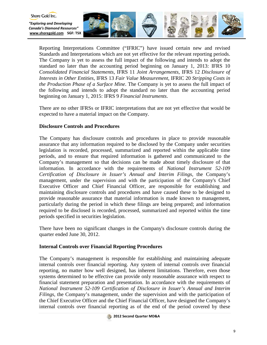

Reporting Interpretations Committee ("IFRIC") have issued certain new and revised Standards and Interpretations which are not yet effective for the relevant reporting periods. The Company is yet to assess the full impact of the following and intends to adopt the standard no later than the accounting period beginning on January 1, 2013: IFRS 10 *Consolidated Financial Statements*, IFRS 11 *Joint Arrangements*, IFRS 12 *Disclosure of Interests in Other Entities*, IFRS 13 *Fair Value Measurement*, IFRIC 20 *Stripping Costs in the Production Phase of a Surface Mine*. The Company is yet to assess the full impact of the following and intends to adopt the standard no later than the accounting period beginning on January 1, 2015: IFRS 9 *Financial Instruments*.

There are no other IFRSs or IFRIC interpretations that are not yet effective that would be expected to have a material impact on the Company.

# **Disclosure Controls and Procedures**

Shore Gold Inc.

The Company has disclosure controls and procedures in place to provide reasonable assurance that any information required to be disclosed by the Company under securities legislation is recorded, processed, summarized and reported within the applicable time periods, and to ensure that required information is gathered and communicated to the Company's management so that decisions can be made about timely disclosure of that information. In accordance with the requirements of *National Instrument 52-109 Certification of Disclosure in Issuer's Annual and Interim Filings*, the Company's management, under the supervision and with the participation of the Company's Chief Executive Officer and Chief Financial Officer, are responsible for establishing and maintaining disclosure controls and procedures and have caused these to be designed to provide reasonable assurance that material information is made known to management, particularly during the period in which these filings are being prepared; and information required to be disclosed is recorded, processed, summarized and reported within the time periods specified in securities legislation.

There have been no significant changes in the Company's disclosure controls during the quarter ended June 30, 2012.

# **Internal Controls over Financial Reporting Procedures**

The Company's management is responsible for establishing and maintaining adequate internal controls over financial reporting. Any system of internal controls over financial reporting, no matter how well designed, has inherent limitations. Therefore, even those systems determined to be effective can provide only reasonable assurance with respect to financial statement preparation and presentation. In accordance with the requirements of *National Instrument 52-109 Certification of Disclosure in Issuer's Annual and Interim Filings*, the Company's management, under the supervision and with the participation of the Chief Executive Officer and the Chief Financial Officer, have designed the Company's internal controls over financial reporting as of the end of the period covered by these

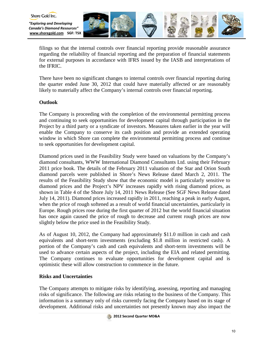

filings so that the internal controls over financial reporting provide reasonable assurance regarding the reliability of financial reporting and the preparation of financial statements for external purposes in accordance with IFRS issued by the IASB and interpretations of the IFRIC.

There have been no significant changes to internal controls over financial reporting during the quarter ended June 30, 2012 that could have materially affected or are reasonably likely to materially affect the Company's internal controls over financial reporting.

## **Outlook**

Shore Gold Inc.

The Company is proceeding with the completion of the environmental permitting process and continuing to seek opportunities for development capital through participation in the Project by a third party or a syndicate of investors. Measures taken earlier in the year will enable the Company to conserve its cash position and provide an extended operating window in which Shore can complete the environmental permitting process and continue to seek opportunities for development capital.

Diamond prices used in the Feasibility Study were based on valuations by the Company's diamond consultants, WWW International Diamond Consultants Ltd. using their February 2011 price book. The details of the February 2011 valuation of the Star and Orion South diamond parcels were published in Shore's News Release dated March 2, 2011. The results of the Feasibility Study show that the economic model is particularly sensitive to diamond prices and the Project's NPV increases rapidly with rising diamond prices, as shown in Table 4 of the Shore July 14, 2011 News Release (See SGF News Release dated July 14, 2011). Diamond prices increased rapidly in 2011, reaching a peak in early August, when the price of rough softened as a result of world financial uncertainties, particularly in Europe. Rough prices rose during the first quarter of 2012 but the world financial situation has once again caused the price of rough to decrease and current rough prices are now slightly below the price used in the Feasibility Study.

As of August 10, 2012, the Company had approximately \$11.0 million in cash and cash equivalents and short-term investments (excluding \$1.8 million in restricted cash). A portion of the Company's cash and cash equivalents and short-term investments will be used to advance certain aspects of the project, including the EIA and related permitting. The Company continues to evaluate opportunities for development capital and is optimistic these will allow construction to commence in the future.

## **Risks and Uncertainties**

The Company attempts to mitigate risks by identifying, assessing, reporting and managing risks of significance. The following are risks relating to the business of the Company. This information is a summary only of risks currently facing the Company based on its stage of development. Additional risks and uncertainties not presently known may also impact the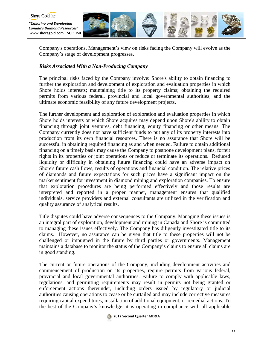

Company's operations. Management's view on risks facing the Company will evolve as the Company's stage of development progresses.

# *Risks Associated With a Non-Producing Company*

The principal risks faced by the Company involve: Shore's ability to obtain financing to further the exploration and development of exploration and evaluation properties in which Shore holds interests; maintaining title to its property claims; obtaining the required permits from various federal, provincial and local governmental authorities; and the ultimate economic feasibility of any future development projects.

The further development and exploration of exploration and evaluation properties in which Shore holds interests or which Shore acquires may depend upon Shore's ability to obtain financing through joint ventures, debt financing, equity financing or other means. The Company currently does not have sufficient funds to put any of its property interests into production from its own financial resources. There is no assurance that Shore will be successful in obtaining required financing as and when needed. Failure to obtain additional financing on a timely basis may cause the Company to postpone development plans, forfeit rights in its properties or joint operations or reduce or terminate its operations. Reduced liquidity or difficulty in obtaining future financing could have an adverse impact on Shore's future cash flows, results of operations and financial condition. The relative prices of diamonds and future expectations for such prices have a significant impact on the market sentiment for investment in diamond mining and exploration companies. To ensure that exploration procedures are being performed effectively and those results are interpreted and reported in a proper manner, management ensures that qualified individuals, service providers and external consultants are utilized in the verification and quality assurance of analytical results.

Title disputes could have adverse consequences to the Company. Managing these issues is an integral part of exploration, development and mining in Canada and Shore is committed to managing these issues effectively. The Company has diligently investigated title to its claims. However, no assurance can be given that title to these properties will not be challenged or impugned in the future by third parties or governments. Management maintains a database to monitor the status of the Company's claims to ensure all claims are in good standing.

The current or future operations of the Company, including development activities and commencement of production on its properties, require permits from various federal, provincial and local governmental authorities. Failure to comply with applicable laws, regulations, and permitting requirements may result in permits not being granted or enforcement actions thereunder, including orders issued by regulatory or judicial authorities causing operations to cease or be curtailed and may include corrective measures requiring capital expenditures, installation of additional equipment, or remedial actions. To the best of the Company's knowledge, it is operating in compliance with all applicable

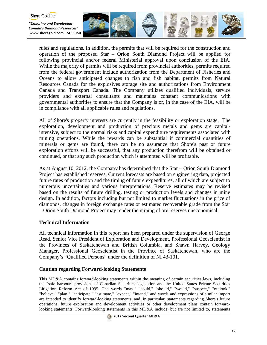

rules and regulations. In addition, the permits that will be required for the construction and operation of the proposed Star – Orion South Diamond Project will be applied for following provincial and/or federal Ministerial approval upon conclusion of the EIA. While the majority of permits will be required from provincial authorities, permits required from the federal government include authorization from the Department of Fisheries and Oceans to allow anticipated changes to fish and fish habitat, permits from Natural Resources Canada for the explosives storage site and authorizations from Environment Canada and Transport Canada. The Company utilizes qualified individuals, service providers and external consultants and maintains constant communications with governmental authorities to ensure that the Company is or, in the case of the EIA, will be in compliance with all applicable rules and regulations.

All of Shore's property interests are currently in the feasibility or exploration stage. The exploration, development and production of precious metals and gems are capitalintensive, subject to the normal risks and capital expenditure requirements associated with mining operations. While the rewards can be substantial if commercial quantities of minerals or gems are found, there can be no assurance that Shore's past or future exploration efforts will be successful, that any production therefrom will be obtained or continued, or that any such production which is attempted will be profitable.

As at August 10, 2012, the Company has determined that the Star – Orion South Diamond Project has established reserves. Current forecasts are based on engineering data, projected future rates of production and the timing of future expenditures, all of which are subject to numerous uncertainties and various interpretations. Reserve estimates may be revised based on the results of future drilling, testing or production levels and changes in mine design. In addition, factors including but not limited to market fluctuations in the price of diamonds, changes in foreign exchange rates or estimated recoverable grade from the Star – Orion South Diamond Project may render the mining of ore reserves uneconomical.

## **Technical Information**

Shore Gold Inc.

All technical information in this report has been prepared under the supervision of George Read, Senior Vice President of Exploration and Development, Professional Geoscientist in the Provinces of Saskatchewan and British Columbia, and Shawn Harvey, Geology Manager, Professional Geoscientist in the Province of Saskatchewan, who are the Company's "Qualified Persons" under the definition of NI 43-101.

## **Caution regarding Forward-looking Statements**

This MD&A contains forward-looking statements within the meaning of certain securities laws, including the "safe harbour" provisions of Canadian Securities legislation and the United States Private Securities Litigation Reform Act of 1995. The words "may," "could," "should," "would," "suspect," "outlook," "believe," "plan," "anticipate," "estimate," "expect," "intend," and words and expressions of similar import are intended to identify forward-looking statements, and, in particular, statements regarding Shore's future operations, future exploration and development activities or other development plans contain forwardlooking statements. Forward-looking statements in this MD&A include, but are not limited to, statements

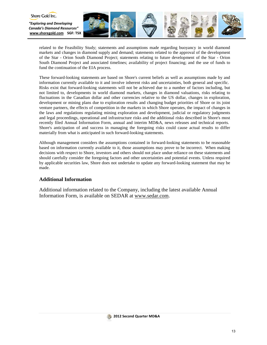

*"Exploring and Developing Canada's Diamond Resources"* **[www.shoregold.com](http://www.shoregold.comm/) SGF: TSX** 



related to the Feasibility Study; statements and assumptions made regarding buoyancy in world diamond markets and changes in diamond supply and demand; statements related to the approval of the development of the Star - Orion South Diamond Project; statements relating to future development of the Star - Orion South Diamond Project and associated timelines; availability of project financing; and the use of funds to fund the continuation of the EIA process.

These forward-looking statements are based on Shore's current beliefs as well as assumptions made by and information currently available to it and involve inherent risks and uncertainties, both general and specific. Risks exist that forward-looking statements will not be achieved due to a number of factors including, but not limited to, developments in world diamond markets, changes in diamond valuations, risks relating to fluctuations in the Canadian dollar and other currencies relative to the US dollar, changes in exploration, development or mining plans due to exploration results and changing budget priorities of Shore or its joint venture partners, the effects of competition in the markets in which Shore operates, the impact of changes in the laws and regulations regulating mining exploration and development, judicial or regulatory judgments and legal proceedings, operational and infrastructure risks and the additional risks described in Shore's most recently filed Annual Information Form, annual and interim MD&A, news releases and technical reports. Shore's anticipation of and success in managing the foregoing risks could cause actual results to differ materially from what is anticipated in such forward-looking statements.

Although management considers the assumptions contained in forward-looking statements to be reasonable based on information currently available to it, those assumptions may prove to be incorrect. When making decisions with respect to Shore, investors and others should not place undue reliance on these statements and should carefully consider the foregoing factors and other uncertainties and potential events. Unless required by applicable securities law, Shore does not undertake to update any forward-looking statement that may be made.

## **Additional Information**

Additional information related to the Company, including the latest available Annual Information Form, is available on SEDAR at www.sedar.com.

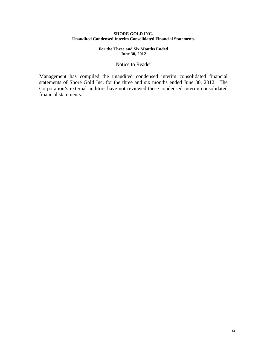## **SHORE GOLD INC. Unaudited Condensed Interim Consolidated Financial Statements**

## **For the Three and Six Months Ended June 30, 2012**

## Notice to Reader

Management has compiled the unaudited condensed interim consolidated financial statements of Shore Gold Inc. for the three and six months ended June 30, 2012. The Corporation's external auditors have not reviewed these condensed interim consolidated financial statements.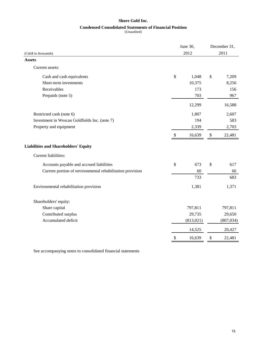## **Shore Gold Inc.**

## **Condensed Consolidated Statements of Financial Position**

(Unaudited)

|                                                           |    | June 30,   | December 31, |            |  |
|-----------------------------------------------------------|----|------------|--------------|------------|--|
| (Cdn\$ in thousands)                                      |    | 2012       |              | 2011       |  |
| <b>Assets</b>                                             |    |            |              |            |  |
| Current assets:                                           |    |            |              |            |  |
| Cash and cash equivalents                                 | \$ | 1,048      | \$           | 7,209      |  |
| Short-term investments                                    |    | 10,375     |              | 8,256      |  |
| Receivables                                               |    | 173        |              | 156        |  |
| Prepaids (note 5)                                         |    | 703        |              | 967        |  |
|                                                           |    | 12,299     |              | 16,588     |  |
| Restricted cash (note 6)                                  |    | 1,807      |              | 2,607      |  |
| Investment in Wescan Goldfields Inc. (note 7)             |    | 194        |              | 583        |  |
| Property and equipment                                    |    | 2,339      |              | 2,703      |  |
|                                                           | \$ | 16,639     | \$           | 22,481     |  |
| <b>Liabilities and Shareholders' Equity</b>               |    |            |              |            |  |
| Current liabilities:                                      |    |            |              |            |  |
| Accounts payable and accrued liabilities                  | \$ | 673        | \$           | 617        |  |
| Current portion of environmental rehabilitation provision |    | 60         |              | 66         |  |
|                                                           |    | 733        |              | 683        |  |
| Environmental rehabilitation provision                    |    | 1,381      |              | 1,371      |  |
| Shareholders' equity:                                     |    |            |              |            |  |
| Share capital                                             |    | 797,811    |              | 797,811    |  |
| Contributed surplus                                       |    | 29,735     |              | 29,650     |  |
| Accumulated deficit                                       |    | (813, 021) |              | (807, 034) |  |
|                                                           |    | 14,525     |              | 20,427     |  |
|                                                           | \$ | 16,639     | \$           | 22,481     |  |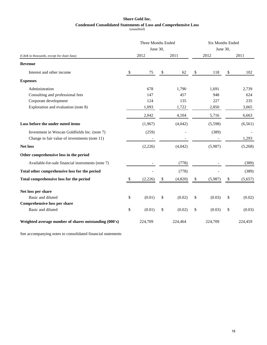# **Condensed Consolidated Statements of Loss and Comprehensive Loss Shore Gold Inc.**

(unaudited)

|                                                       | Three Months Ended |          |    |         | <b>Six Months Ended</b> |          |    |          |
|-------------------------------------------------------|--------------------|----------|----|---------|-------------------------|----------|----|----------|
|                                                       |                    | June 30, |    |         |                         | June 30, |    |          |
| (Cdn\$ in thousands, except for share data)           |                    | 2012     |    | 2011    |                         | 2012     |    | 2011     |
| <b>Revenue</b>                                        |                    |          |    |         |                         |          |    |          |
| Interest and other income                             | $\mathbb{S}$       | 75       | \$ | 62      | \$                      | 118      | \$ | 102      |
| <b>Expenses</b>                                       |                    |          |    |         |                         |          |    |          |
| Administration                                        |                    | 678      |    | 1,790   |                         | 1,691    |    | 2,739    |
| Consulting and professional fees                      |                    | 147      |    | 457     |                         | 948      |    | 624      |
| Corporate development                                 |                    | 124      |    | 135     |                         | 227      |    | 235      |
| Exploration and evaluation (note 8)                   |                    | 1,093    |    | 1,722   |                         | 2,850    |    | 3,065    |
|                                                       |                    | 2,042    |    | 4,104   |                         | 5,716    |    | 6,663    |
| Loss before the under noted items                     |                    | (1,967)  |    | (4,042) |                         | (5,598)  |    | (6, 561) |
| Investment in Wescan Goldfields Inc. (note 7)         |                    | (259)    |    |         |                         | (389)    |    |          |
| Change in fair value of investments (note 11)         |                    |          |    |         |                         |          |    | 1,293    |
| <b>Net loss</b>                                       |                    | (2,226)  |    | (4,042) |                         | (5,987)  |    | (5,268)  |
| Other comprehensive loss in the period                |                    |          |    |         |                         |          |    |          |
| Available-for-sale financial instruments (note 7)     |                    |          |    | (778)   |                         |          |    | (389)    |
| Total other comprehensive loss for the period         |                    |          |    | (778)   |                         |          |    | (389)    |
| Total comprehensive loss for the period               | \$                 | (2,226)  | \$ | (4,820) | \$                      | (5,987)  | \$ | (5,657)  |
| Net loss per share                                    |                    |          |    |         |                         |          |    |          |
| Basic and diluted                                     | \$                 | (0.01)   | \$ | (0.02)  | \$                      | (0.03)   | \$ | (0.02)   |
| Comprehensive loss per share                          |                    |          |    |         |                         |          |    |          |
| Basic and diluted                                     | \$                 | (0.01)   | \$ | (0.02)  | \$                      | (0.03)   | \$ | (0.03)   |
| Weighted average number of shares outstanding (000's) |                    | 224,709  |    | 224,464 |                         | 224,709  |    | 224,459  |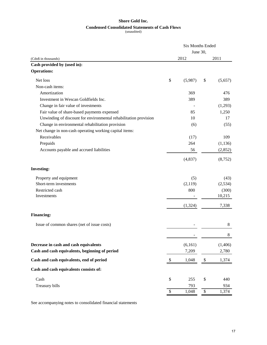## **Shore Gold Inc.**

## **Condensed Consolidated Statements of Cash Flows**

(unaudited)

|                                                                  | <b>Six Months Ended</b>   |          |      |          |  |
|------------------------------------------------------------------|---------------------------|----------|------|----------|--|
|                                                                  |                           | June 30, |      |          |  |
| (Cdn\$ in thousands)                                             |                           | 2012     |      | 2011     |  |
| Cash provided by (used in):                                      |                           |          |      |          |  |
| <b>Operations:</b>                                               |                           |          |      |          |  |
| Net loss                                                         | \$                        | (5,987)  | \$   | (5,657)  |  |
| Non-cash items:                                                  |                           |          |      |          |  |
| Amortization                                                     |                           | 369      |      | 476      |  |
| Investment in Wescan Goldfields Inc.                             |                           | 389      |      | 389      |  |
| Change in fair value of investments                              |                           |          |      | (1,293)  |  |
| Fair value of share-based payments expensed                      |                           | 85       |      | 1,250    |  |
| Unwinding of discount for environmental rehabilitation provision |                           | 10       |      | 17       |  |
| Change in environmental rehabilitation provision                 |                           | (6)      |      | (55)     |  |
| Net change in non-cash operating working capital items:          |                           |          |      |          |  |
| Receivables                                                      |                           | (17)     |      | 109      |  |
| Prepaids                                                         |                           | 264      |      | (1, 136) |  |
| Accounts payable and accrued liabilities                         |                           | 56       |      | (2,852)  |  |
|                                                                  |                           | (4, 837) |      | (8, 752) |  |
| <b>Investing:</b>                                                |                           |          |      |          |  |
| Property and equipment                                           |                           | (5)      |      | (43)     |  |
| Short-term investments                                           |                           | (2,119)  |      | (2,534)  |  |
| Restricted cash                                                  |                           | 800      |      | (300)    |  |
| Investments                                                      |                           |          |      | 10,215   |  |
|                                                                  |                           | (1, 324) |      | 7,338    |  |
| <b>Financing:</b>                                                |                           |          |      |          |  |
| Issue of common shares (net of issue costs)                      |                           |          |      | 8        |  |
|                                                                  |                           |          |      | $\,8\,$  |  |
| Decrease in cash and cash equivalents                            |                           | (6,161)  |      | (1,406)  |  |
| Cash and cash equivalents, beginning of period                   |                           | 7,209    |      | 2,780    |  |
| Cash and cash equivalents, end of period                         | \$                        | 1,048    | $\$$ | 1,374    |  |
| Cash and cash equivalents consists of:                           |                           |          |      |          |  |
| Cash                                                             | \$                        | 255      | \$   | 440      |  |
| Treasury bills                                                   |                           | 793      |      | 934      |  |
|                                                                  | $\boldsymbol{\mathsf{S}}$ | 1,048    | \$   | 1,374    |  |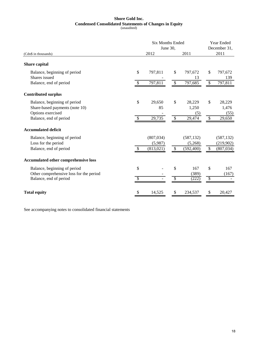# **Shore Gold Inc. Condensed Consolidated Statements of Changes in Equity**

(unaudited)

|                                                                                                   |               | <b>Six Months Ended</b><br>June 30, |               |                                     |              |                                       |
|---------------------------------------------------------------------------------------------------|---------------|-------------------------------------|---------------|-------------------------------------|--------------|---------------------------------------|
| (Cdn\$ in thousands)                                                                              |               | 2012                                |               | 2011                                |              | 2011                                  |
| Share capital                                                                                     |               |                                     |               |                                     |              |                                       |
| Balance, beginning of period<br>Shares issued                                                     | \$            | 797,811                             | \$            | 797,672<br>13                       | \$           | 797,672<br>139                        |
| Balance, end of period                                                                            | \$            | 797,811                             | $\mathbb{S}$  | 797,685                             | \$           | 797,811                               |
| <b>Contributed surplus</b>                                                                        |               |                                     |               |                                     |              |                                       |
| Balance, beginning of period<br>Share-based payments (note 10)<br>Options exercised               | \$<br>\$      | 29,650<br>85<br>29,735              | \$<br>$\$$    | 28,229<br>1,250<br>(5)<br>29,474    | \$<br>$\$\,$ | 28,229<br>1,476<br>(55)               |
| Balance, end of period<br><b>Accumulated deficit</b>                                              |               |                                     |               |                                     |              | 29,650                                |
| Balance, beginning of period<br>Loss for the period<br>Balance, end of period                     | <sup>\$</sup> | (807, 034)<br>(5,987)<br>(813,021)  | $\mathcal{S}$ | (587, 132)<br>(5,268)<br>(592, 400) | \$           | (587, 132)<br>(219,902)<br>(807, 034) |
| Accumulated other comprehensive loss                                                              |               |                                     |               |                                     |              |                                       |
| Balance, beginning of period<br>Other comprehensive loss for the period<br>Balance, end of period | \$<br>\$      |                                     | \$<br>\$      | 167<br>(389)<br>(222)               | \$<br>\$     | 167<br>(167)                          |
| <b>Total equity</b>                                                                               | \$            | 14,525                              | \$            | 234,537                             | \$           | 20,427                                |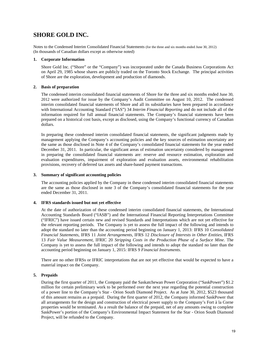# **SHORE GOLD INC.**

Notes to the Condensed Interim Consolidated Financial Statements (for the three and six months ended June 30, 2012) (In thousands of Canadian dollars except as otherwise noted)

## **1. Corporate Information**

Shore Gold Inc. ("Shore" or the "Company") was incorporated under the Canada Business Corporations Act on April 29, 1985 whose shares are publicly traded on the Toronto Stock Exchange. The principal activities of Shore are the exploration, development and production of diamonds.

## **2. Basis of preparation**

The condensed interim consolidated financial statements of Shore for the three and six months ended June 30, 2012 were authorized for issue by the Company's Audit Committee on August 10, 2012. The condensed interim consolidated financial statements of Shore and all its subsidiaries have been prepared in accordance with International Accounting Standard ("IAS") 34 *Interim Financial Reporting* and do not include all of the information required for full annual financial statements. The Company's financial statements have been prepared on a historical cost basis, except as disclosed, using the Company's functional currency of Canadian dollars.

In preparing these condensed interim consolidated financial statements, the significant judgments made by management applying the Company's accounting policies and the key sources of estimation uncertainty are the same as those disclosed in Note 4 of the Company's consolidated financial statements for the year ended December 31, 2011. In particular, the significant areas of estimation uncertainty considered by management in preparing the consolidated financial statements are: reserve and resource estimation, exploration and evaluation expenditures, impairment of exploration and evaluation assets, environmental rehabilitation provisions, recovery of deferred tax assets and share-based payment transactions.

#### **3. Summary of significant accounting policies**

The accounting policies applied by the Company in these condensed interim consolidated financial statements are the same as those disclosed in note 3 of the Company's consolidated financial statements for the year ended December 31, 2011.

## **4. IFRS standards issued but not yet effective**

At the date of authorization of these condensed interim consolidated financial statements, the International Accounting Standards Board ("IASB") and the International Financial Reporting Interpretations Committee ("IFRIC") have issued certain new and revised Standards and Interpretations which are not yet effective for the relevant reporting periods. The Company is yet to assess the full impact of the following and intends to adopt the standard no later than the accounting period beginning on January 1, 2013: IFRS 10 *Consolidated Financial Statements*, IFRS 11 *Joint Arrangements*, IFRS 12 *Disclosure of Interests in Other Entities*, IFRS 13 *Fair Value Measurement*, IFRIC 20 *Stripping Costs in the Production Phase of a Surface Mine*. The Company is yet to assess the full impact of the following and intends to adopt the standard no later than the accounting period beginning on January 1, 2015: IFRS 9 *Financial Instruments*.

There are no other IFRSs or IFRIC interpretations that are not yet effective that would be expected to have a material impact on the Company.

#### **5. Prepaids**

During the first quarter of 2011, the Company paid the Saskatchewan Power Corporation ("SaskPower") \$1.2 million for certain preliminary work to be performed over the next year regarding the potential construction of a power line to the Company's Star - Orion South Diamond Project. As at June 30, 2012, \$523 thousand of this amount remains as a prepaid. During the first quarter of 2012, the Company informed SaskPower that all arrangements for the design and construction of electrical power supply to the Company's Fort à la Corne properties would be terminated. As a result the balance of the prepaid, net of any amounts owing to complete SaskPower's portion of the Company's Environmental Impact Statement for the Star - Orion South Diamond Project, will be refunded to the Company.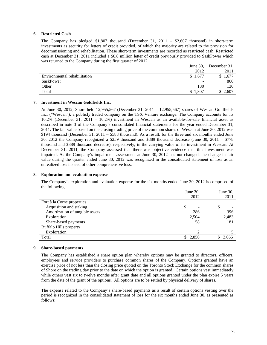## **6. Restricted Cash**

The Company has pledged \$1,807 thousand (December 31, 2011 – \$2,607 thousand) in short-term investments as security for letters of credit provided, of which the majority are related to the provision for decommissioning and rehabilitation. These short-term investments are recorded as restricted cash. Restricted cash at December 31, 2011 included a \$0.8 million letter of credit previously provided to SaskPower which was returned to the Company during the first quarter of 2012.

|                              | June $30$ . | December 31, |
|------------------------------|-------------|--------------|
|                              | 2012        | 2011         |
| Environmental rehabilitation | \$1,677     | 1,677        |
| SaskPower                    | -           | 800          |
| Other                        | 130         | 130          |
| Total                        | 1,807       | $\angle 607$ |

#### **7. Investment in Wescan Goldfields Inc.**

At June 30, 2012, Shore held 12,955,567 (December 31, 2011 – 12,955,567) shares of Wescan Goldfields Inc. ("Wescan"), a publicly traded company on the TSX Venture exchange. The Company accounts for its 10.2% (December 31, 2011 – 10.2%) investment in Wescan as an available-for-sale financial asset as described in note 3 of the Company's consolidated financial statements for the year ended December 31, 2011. The fair value based on the closing trading price of the common shares of Wescan at June 30, 2012 was \$194 thousand (December 31, 2011 – \$583 thousand). As a result, for the three and six months ended June 30, 2012 the Company recognized a \$259 thousand and \$389 thousand decrease (June 30, 2011 – \$778 thousand and \$389 thousand decrease), respectively, in the carrying value of its investment in Wescan. At December 31, 2011, the Company assessed that there was objective evidence that this investment was impaired. As the Company's impairment assessment at June 30, 2012 has not changed, the change in fair value during the quarter ended June 30, 2012 was recognized in the consolidated statement of loss as an unrealized loss instead of other comprehensive loss.

## **8. Exploration and evaluation expense**

The Company's exploration and evaluation expense for the six months ended June 30, 2012 is comprised of the following:

|                                 | June $30$ .<br>2012 | June 30,<br>2011 |
|---------------------------------|---------------------|------------------|
| Fort à la Corne properties      |                     |                  |
| Acquisition and staking         | \$                  | S                |
| Amortization of tangible assets | 286                 | 396              |
| Exploration                     | 2,504               | 2,483            |
| Share-based payments            | 58                  | 181              |
| <b>Buffalo Hills property</b>   |                     |                  |
| Exploration                     | $\overline{c}$      |                  |
| Total                           | \$2,850             | 3,065            |

## **9. Share-based payments**

The Company has established a share option plan whereby options may be granted to directors, officers, employees and service providers to purchase common shares of the Company. Options granted have an exercise price of not less than the closing price quoted on the Toronto Stock Exchange for the common shares of Shore on the trading day prior to the date on which the option is granted. Certain options vest immediately while others vest six to twelve months after grant date and all options granted under the plan expire 5 years from the date of the grant of the options. All options are to be settled by physical delivery of shares.

The expense related to the Company's share-based payments as a result of certain options vesting over the period is recognized in the consolidated statement of loss for the six months ended June 30, as presented as follows: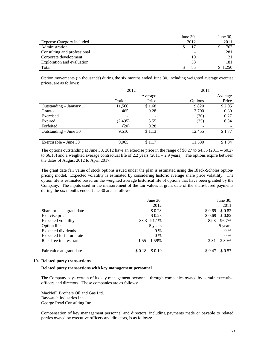|                                  | June 30, |      | June $30$ , |
|----------------------------------|----------|------|-------------|
| <b>Expense Category included</b> |          | 2012 | 2011        |
| Administration                   |          |      | 767         |
| Consulting and professional      |          |      | 281         |
| Corporate development            |          | 10   |             |
| Exploration and evaluation       |          | 58   | 181         |
| Total                            |          |      | .250        |

Option movements (in thousands) during the six months ended June 30, including weighted average exercise prices, are as follows:

|                         | 2012     |        | 2011    |         |
|-------------------------|----------|--------|---------|---------|
|                         | Average  |        |         | Average |
|                         | Options  | Price  | Options | Price   |
| Outstanding – January 1 | 11,560   | \$1.68 | 9,820   | \$2.05  |
| Granted                 | 465      | 0.28   | 2,700   | 0.80    |
| Exercised               |          |        | (30)    | 0.27    |
| Expired                 | (2, 495) | 3.55   | (35)    | 6.84    |
| Forfeited               | (20)     | 0.28   |         |         |
| Outstanding $-$ June 30 | 9.510    | \$1.13 | 12.455  | \$1.77  |
|                         |          |        |         |         |
| Exercisable $-$ June 30 | 9,065    | \$1.17 | 11,580  | \$1.84  |

The options outstanding at June 30, 2012 have an exercise price in the range of \$0.27 to \$4.55 (2011 – \$0.27 to  $$6.18$ ) and a weighted average contractual life of 2.2 years (2011 – 2.9 years). The options expire between the dates of August 2012 to April 2017.

The grant date fair value of stock options issued under the plan is estimated using the Black-Scholes optionpricing model. Expected volatility is estimated by considering historic average share price volatility. The option life is estimated based on the weighted average historical life of options that have been granted by the Company. The inputs used in the measurement of the fair values at grant date of the share-based payments during the six months ended June 30 are as follows:

|                           | June $30$ .     | June $30$ ,      |
|---------------------------|-----------------|------------------|
|                           | 2012            | 2011             |
| Share price at grant date | \$0.28          | $$0.69 - $0.82$$ |
| Exercise price            | \$0.28          | $$0.69 - $0.82$  |
| Expected volatility       | $88.3 - 91.1\%$ | $82.3 - 96.7\%$  |
| Option life               | 5 years         | 5 years          |
| Expected dividends        | $0\%$           | $0\%$            |
| Expected forfeiture rate  | $0\%$           | $0\%$            |
| Risk-free interest rate   | $1.55 - 1.59\%$ | $2.31 - 2.80\%$  |
| Fair value at grant date  | $$0.18 - $0.19$ | $$0.47 - $0.57$  |

#### **10. Related party transactions**

#### **Related party transactions with key management personnel**

The Company pays certain of its key management personnel through companies owned by certain executive officers and directors. Those companies are as follows:

MacNeill Brothers Oil and Gas Ltd. Baywatch Industries Inc. George Read Consulting Inc.

Compensation of key management personnel and directors, including payments made or payable to related parties owned by executive officers and directors, is as follows: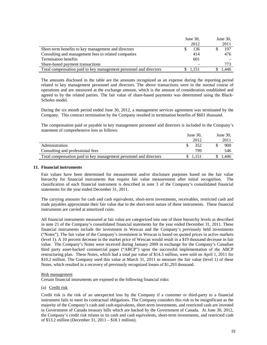|                                                                   | June 30, |         | June $30$ , |       |
|-------------------------------------------------------------------|----------|---------|-------------|-------|
|                                                                   |          | 2012    |             | 2011  |
| Short-term benefits to key management and directors               |          | 136     |             | 197   |
| Consulting and management fees to related companies               |          | 414     |             | 476   |
| <b>Termination benefits</b>                                       |          | 601     |             |       |
| Share-based payment transactions                                  |          |         |             | 773   |
| Total compensation paid to key management personnel and directors |          | \$1.151 |             | 1.446 |

The amounts disclosed in the table are the amounts recognized as an expense during the reporting period related to key management personnel and directors. The above transactions were in the normal course of operations and are measured at the exchange amount, which is the amount of consideration established and agreed to by the related parties. The fair value of share-based payments was determined using the Black-Scholes model.

During the six month period ended June 30, 2012, a management services agreement was terminated by the Company. This contract termination by the Company resulted in termination benefits of \$601 thousand.

The compensation paid or payable to key management personnel and directors is included in the Company's statement of comprehensive loss as follows:

|                                                                   | June $30$ , |      | June $30$ , |  |
|-------------------------------------------------------------------|-------------|------|-------------|--|
|                                                                   |             | 2012 | 2011        |  |
| Administration                                                    |             |      | 900         |  |
| Consulting and professional fees                                  |             | 799  | 546         |  |
| Total compensation paid to key management personnel and directors |             |      | .446        |  |

## **11. Financial instruments**

Fair values have been determined for measurement and/or disclosure purposes based on the fair value hierarchy for financial instruments that require fair value measurement after initial recognition. The classification of each financial instrument is described in note 3 of the Company's consolidated financial statements for the year ended December 31, 2011.

The carrying amounts for cash and cash equivalents, short-term investments, receivables, restricted cash and trade payables approximate their fair value due to the short-term nature of these instruments. These financial instruments are carried at amortized costs.

All financial instruments measured at fair value are categorized into one of three hierarchy levels as described in note 21 of the Company's consolidated financial statements for the year ended December 31, 2011. These financial instruments include the investment in Wescan and the Company's previously held investments ("Notes"). The fair value of the Company's investment in Wescan is based on quoted prices in active markets (level 1). A 10 percent decrease in the market price of Wescan would result in a \$19 thousand decrease in fair value. The Company's Notes were received during January 2009 in exchange for the Company's Canadian third party asset-backed commercial paper ("ABCP") upon the successful implementation of the ABCP restructuring plan. These Notes, which had a total par value of \$14.3 million, were sold on April 1, 2011 for \$10.2 million. The Company used this value at March 31, 2011 to measure the fair value (level 1) of these Notes, which resulted in a recovery of previously recognized losses of \$1,293 thousand.

#### Risk management

Certain financial instruments are exposed to the following financial risks:

(a) Credit risk

Credit risk is the risk of an unexpected loss by the Company if a customer or third-party to a financial instrument fails to meet its contractual obligations. The Company considers this risk to be insignificant as the majority of the Company's cash and cash equivalents, short-term investments, and restricted cash are invested in Government of Canada treasury bills which are backed by the Government of Canada. At June 30, 2012, the Company's credit risk relates to its cash and cash equivalents, short-term investments, and restricted cash of \$13.2 million (December 31, 2011 – \$18.1 million).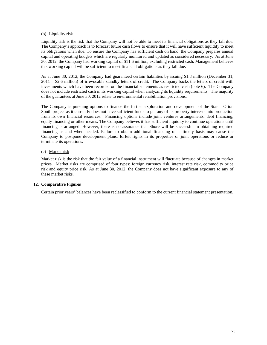## (b) Liquidity risk

Liquidity risk is the risk that the Company will not be able to meet its financial obligations as they fall due. The Company's approach is to forecast future cash flows to ensure that it will have sufficient liquidity to meet its obligations when due. To ensure the Company has sufficient cash on hand, the Company prepares annual capital and operating budgets which are regularly monitored and updated as considered necessary. As at June 30, 2012, the Company had working capital of \$11.6 million, excluding restricted cash. Management believes this working capital will be sufficient to meet financial obligations as they fall due.

As at June 30, 2012, the Company had guaranteed certain liabilities by issuing \$1.8 million (December 31, 2011 – \$2.6 million) of irrevocable standby letters of credit. The Company backs the letters of credit with investments which have been recorded on the financial statements as restricted cash (note 6). The Company does not include restricted cash in its working capital when analyzing its liquidity requirements. The majority of the guarantees at June 30, 2012 relate to environmental rehabilitation provisions.

The Company is pursuing options to finance the further exploration and development of the Star – Orion South project as it currently does not have sufficient funds to put any of its property interests into production from its own financial resources. Financing options include joint ventures arrangements, debt financing, equity financing or other means. The Company believes it has sufficient liquidity to continue operations until financing is arranged. However, there is no assurance that Shore will be successful in obtaining required financing as and when needed. Failure to obtain additional financing on a timely basis may cause the Company to postpone development plans, forfeit rights in its properties or joint operations or reduce or terminate its operations.

## (c) Market risk

Market risk is the risk that the fair value of a financial instrument will fluctuate because of changes in market prices. Market risks are comprised of four types: foreign currency risk, interest rate risk, commodity price risk and equity price risk. As at June 30, 2012, the Company does not have significant exposure to any of these market risks.

#### **12. Comparative Figures**

Certain prior years' balances have been reclassified to conform to the current financial statement presentation.